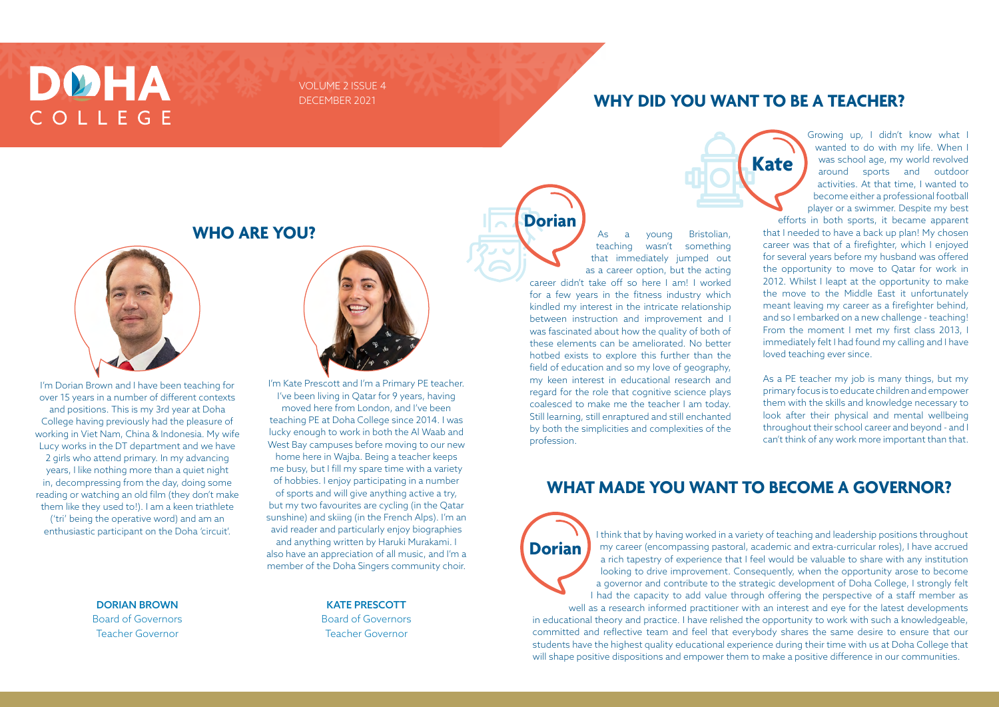I'm Dorian Brown and I have been teaching for over 15 years in a number of different contexts and positions. This is my 3rd year at Doha College having previously had the pleasure of working in Viet Nam, China & Indonesia. My wife Lucy works in the DT department and we have 2 girls who attend primary. In my advancing years, I like nothing more than a quiet night in, decompressing from the day, doing some reading or watching an old film (they don't make them like they used to!). I am a keen triathlete ('tri' being the operative word) and am an

enthusiastic participant on the Doha 'circuit'.

# I'm Kate Prescott and I'm a Primary PE teacher.

I've been living in Qatar for 9 years, having moved here from London, and I've been teaching PE at Doha College since 2014. I was lucky enough to work in both the Al Waab and West Bay campuses before moving to our new home here in Wajba. Being a teacher keeps me busy, but I fill my spare time with a variety of hobbies. I enjoy participating in a number of sports and will give anything active a try, but my two favourites are cycling (in the Qatar sunshine) and skiing (in the French Alps). I'm an avid reader and particularly enjoy biographies and anything written by Haruki Murakami. I also have an appreciation of all music, and I'm a member of the Doha Singers community choir.

Growing up, I didn't know what I wanted to do with my life. When I was school age, my world revolved around sports and outdoor activities. At that time, I wanted to become either a professional football player or a swimmer. Despite my best

efforts in both sports, it became apparent that I needed to have a back up plan! My chosen career was that of a firefighter, which I enjoyed for several years before my husband was offered the opportunity to move to Qatar for work in 2012. Whilst I leapt at the opportunity to make the move to the Middle East it unfortunately meant leaving my career as a firefighter behind, and so I embarked on a new challenge - teaching! From the moment I met my first class 2013, I immediately felt I had found my calling and I have loved teaching ever since.

As a PE teacher my job is many things, but my primary focus is to educate children and empower them with the skills and knowledge necessary to look after their physical and mental wellbeing throughout their school career and beyond - and I can't think of any work more important than that.

### DØHA COLLEGE

VOLUME 2 ISSUE 4 DECEMBER 2021

**WHO ARE YOU?**



#### **WHY DID YOU WANT TO BE A TEACHER?**

#### **WHAT MADE YOU WANT TO BECOME A GOVERNOR?**

#### DORIAN BROWN Board of Governors Teacher Governor

KATE PRESCOTT Board of Governors Teacher Governor

As a young Bristolian, teaching wasn't something that immediately jumped out as a career option, but the acting career didn't take off so here I am! I worked for a few years in the fitness industry which kindled my interest in the intricate relationship between instruction and improvement and I was fascinated about how the quality of both of these elements can be ameliorated. No better hotbed exists to explore this further than the field of education and so my love of geography, my keen interest in educational research and regard for the role that cognitive science plays coalesced to make me the teacher I am today. Still learning, still enraptured and still enchanted by both the simplicities and complexities of the profession.

> I think that by having worked in a variety of teaching and leadership positions throughout my career (encompassing pastoral, academic and extra-curricular roles), I have accrued a rich tapestry of experience that I feel would be valuable to share with any institution looking to drive improvement. Consequently, when the opportunity arose to become a governor and contribute to the strategic development of Doha College, I strongly felt

I had the capacity to add value through offering the perspective of a staff member as well as a research informed practitioner with an interest and eye for the latest developments in educational theory and practice. I have relished the opportunity to work with such a knowledgeable, committed and reflective team and feel that everybody shares the same desire to ensure that our students have the highest quality educational experience during their time with us at Doha College that will shape positive dispositions and empower them to make a positive difference in our communities.

**Dorian**